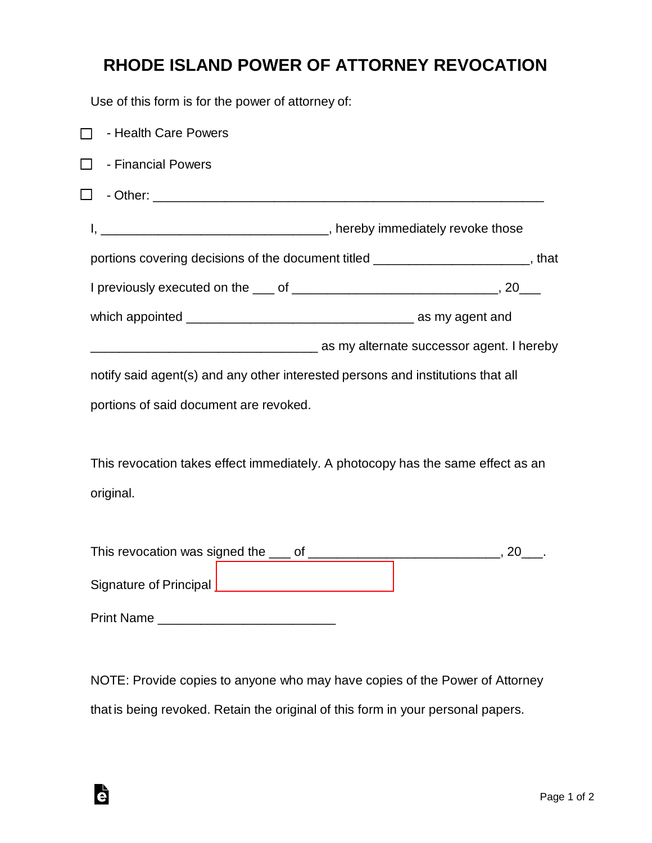## **RHODE ISLAND POWER OF ATTORNEY REVOCATION**

Use of this form is for the power of attorney of:

| - Health Care Powers<br>$\mathsf{L}$                                            |                                                                                   |
|---------------------------------------------------------------------------------|-----------------------------------------------------------------------------------|
| - Financial Powers<br>$\Box$                                                    |                                                                                   |
| $\Box$                                                                          |                                                                                   |
|                                                                                 |                                                                                   |
|                                                                                 | portions covering decisions of the document titled ________________________, that |
|                                                                                 |                                                                                   |
|                                                                                 |                                                                                   |
|                                                                                 | as my alternate successor agent. I hereby in the successor agent. I hereby        |
| notify said agent(s) and any other interested persons and institutions that all |                                                                                   |
| portions of said document are revoked.                                          |                                                                                   |
|                                                                                 |                                                                                   |
| This revocation takes effect immediately. A photocopy has the same effect as an |                                                                                   |
| original.                                                                       |                                                                                   |
|                                                                                 |                                                                                   |
|                                                                                 |                                                                                   |
|                                                                                 |                                                                                   |
|                                                                                 |                                                                                   |
|                                                                                 |                                                                                   |

NOTE: Provide copies to anyone who may have copies of the Power of Attorney that is being revoked. Retain the original of this form in your personal papers.

è